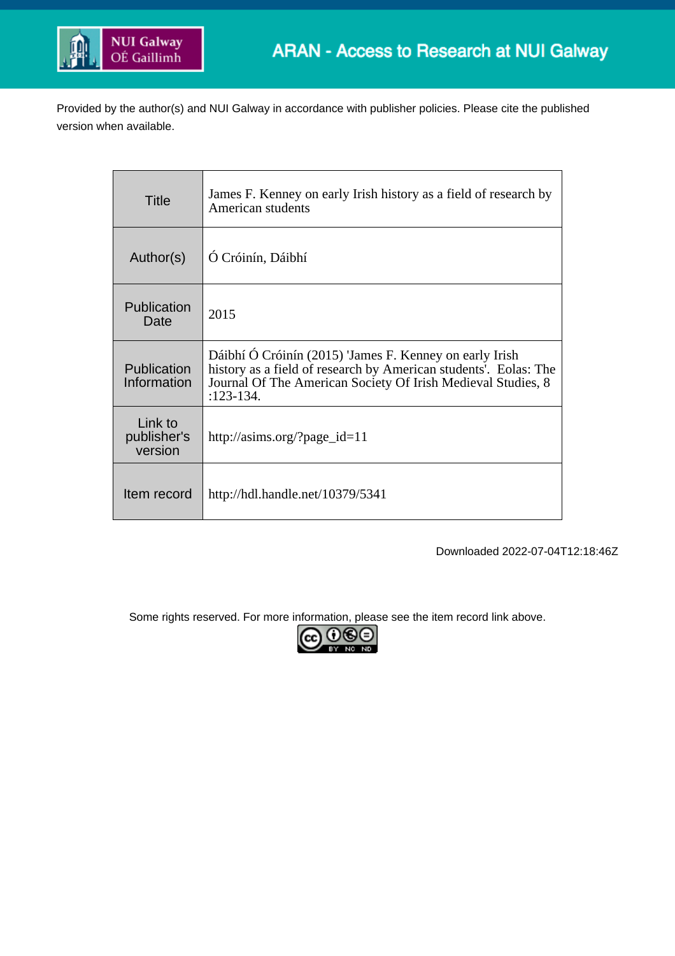

Provided by the author(s) and NUI Galway in accordance with publisher policies. Please cite the published version when available.

| Title                             | James F. Kenney on early Irish history as a field of research by<br>American students                                                                                                                      |
|-----------------------------------|------------------------------------------------------------------------------------------------------------------------------------------------------------------------------------------------------------|
| Author(s)                         | Ó Cróinín, Dáibhí                                                                                                                                                                                          |
| Publication<br>Date               | 2015                                                                                                                                                                                                       |
| Publication<br>Information        | Dáibhí Ó Cróinín (2015) 'James F. Kenney on early Irish<br>history as a field of research by American students'. Eolas: The<br>Journal Of The American Society Of Irish Medieval Studies, 8<br>$:123-134.$ |
| Link to<br>publisher's<br>version | http://asims.org/?page_id=11                                                                                                                                                                               |
| Item record                       | http://hdl.handle.net/10379/5341                                                                                                                                                                           |

Downloaded 2022-07-04T12:18:46Z

Some rights reserved. For more information, please see the item record link above.

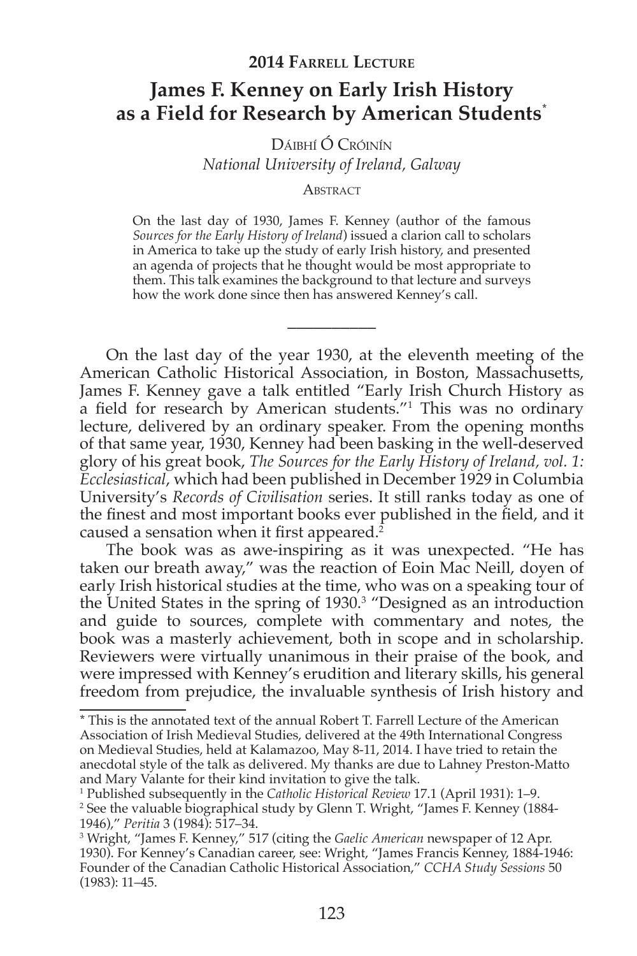## **James F. Kenney on Early Irish History** as a Field for Research by American Students<sup>\*</sup>

DÁIBHÍ Ó CRÓINÍN National University of Ireland, Galway

## ABSTRACT

On the last day of 1930, James F. Kenney (author of the famous Sources for the Early History of Ireland) issued a clarion call to scholars in America to take up the study of early Irish history, and presented an agenda of projects that he thought would be most appropriate to them. This talk examines the background to that lecture and surveys how the work done since then has answered Kenney's call.

On the last day of the year 1930, at the eleventh meeting of the American Catholic Historical Association, in Boston, Massachusetts, James F. Kenney gave a talk entitled "Early Irish Church History as a field for research by American students."<sup>1</sup> This was no ordinary lecture, delivered by an ordinary speaker. From the opening months of that same year, 1930, Kenney had been basking in the well-deserved glory of his great book, The Sources for the Early History of Ireland, vol. 1: Ecclesiastical, which had been published in December 1929 in Columbia University's Records of Civilisation series. It still ranks today as one of the finest and most important books ever published in the field, and it caused a sensation when it first appeared.<sup>2</sup>

The book was as awe-inspiring as it was unexpected. "He has taken our breath away," was the reaction of Eoin Mac Neill, doven of early Irish historical studies at the time, who was on a speaking tour of the United States in the spring of 1930.<sup>3</sup> "Designed as an introduction and guide to sources, complete with commentary and notes, the book was a masterly achievement, both in scope and in scholarship. Reviewers were virtually unanimous in their praise of the book, and were impressed with Kenney's erudition and literary skills, his general freedom from prejudice, the invaluable synthesis of Irish history and

<sup>\*</sup> This is the annotated text of the annual Robert T. Farrell Lecture of the American Association of Irish Medieval Studies, delivered at the 49th International Congress on Medieval Studies, held at Kalamazoo, May 8-11, 2014. I have tried to retain the anecdotal style of the talk as delivered. My thanks are due to Lahney Preston-Matto and Mary Valante for their kind invitation to give the talk.

<sup>&</sup>lt;sup>1</sup> Published subsequently in the Catholic Historical Review 17.1 (April 1931): 1-9.

<sup>&</sup>lt;sup>2</sup> See the valuable biographical study by Glenn T. Wright, "James F. Kenney (1884-1946)," Peritia 3 (1984): 517–34.

<sup>&</sup>lt;sup>3</sup> Wright, "James F. Kenney," 517 (citing the *Gaelic American* newspaper of 12 Apr. 1930). For Kenney's Canadian career, see: Wright, "James Francis Kenney, 1884-1946: Founder of the Canadian Catholic Historical Association," CCHA Study Sessions 50  $(1983): 11-45.$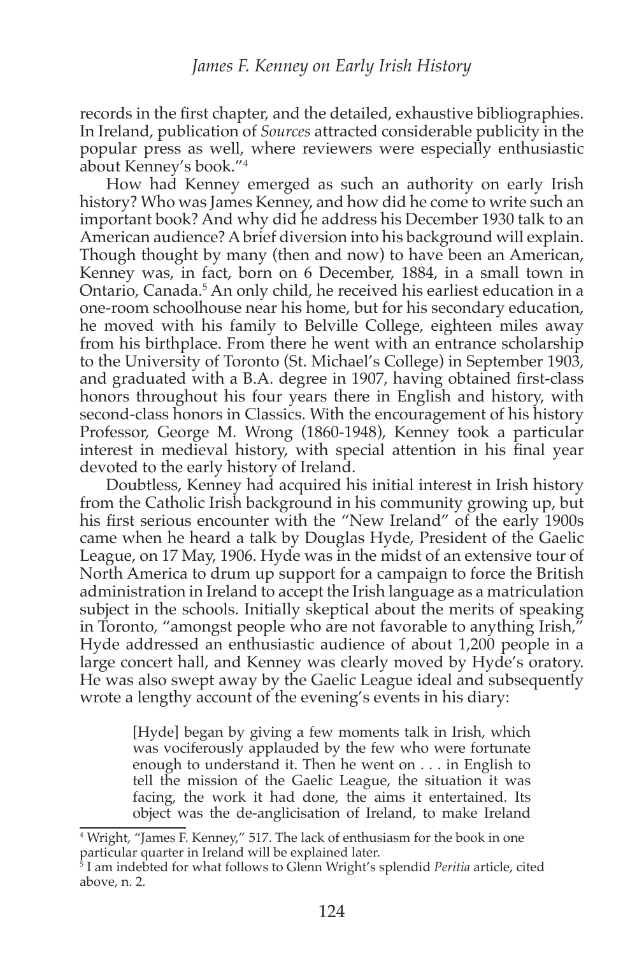records in the first chapter, and the detailed, exhaustive bibliographies. In Ireland, publication of *Sources* attracted considerable publicity in the popular press as well, where reviewers were especially enthusiastic about Kenney's book."<sup>4</sup>

How had Kenney emerged as such an authority on early Irish history? Who was James Kenney, and how did he come to write such an important book? And why did he address his December 1930 talk to an American audience? A brief diversion into his background will explain. Though thought by many (then and now) to have been an American, Kenney was, in fact, born on 6 December, 1884, in a small town in Ontario, Canada.<sup>5</sup> An only child, he received his earliest education in a one-room schoolhouse near his home, but for his secondary education, he moved with his family to Belville College, eighteen miles away from his birthplace. From there he went with an entrance scholarship to the University of Toronto (St. Michael's College) in September 1903, and graduated with a B.A. degree in 1907, having obtained first-class honors throughout his four years there in English and history, with second-class honors in Classics. With the encouragement of his history Professor, George M. Wrong (1860-1948), Kenney took a particular interest in medieval history, with special attention in his final year devoted to the early history of Ireland.

Doubtless, Kenney had acquired his initial interest in Irish history from the Catholic Irish background in his community growing up, but his first serious encounter with the "New Ireland" of the early 1900s came when he heard a talk by Douglas Hyde, President of the Gaelic League, on 17 May, 1906. Hyde was in the midst of an extensive tour of North America to drum up support for a campaign to force the British administration in Ireland to accept the Irish language as a matriculation subject in the schools. Initially skeptical about the merits of speaking in Toronto, "amongst people who are not favorable to anything Irish," Hyde addressed an enthusiastic audience of about 1,200 people in a large concert hall, and Kenney was clearly moved by Hyde's oratory. He was also swept away by the Gaelic League ideal and subsequently wrote a lengthy account of the evening's events in his diary:

> [Hyde] began by giving a few moments talk in Irish, which was vociferously applauded by the few who were fortunate enough to understand it. Then he went on . . . in English to tell the mission of the Gaelic League, the situation it was facing, the work it had done, the aims it entertained. Its object was the de-anglicisation of Ireland, to make Ireland

<sup>&</sup>lt;sup>4</sup> Wright, "James F. Kenney," 517. The lack of enthusiasm for the book in one

particular quarter in Ireland will be explained later.<br><sup>5</sup> I am indebted for what follows to Glenn Wright's splendid *Peritia* article, cited above, n. 2.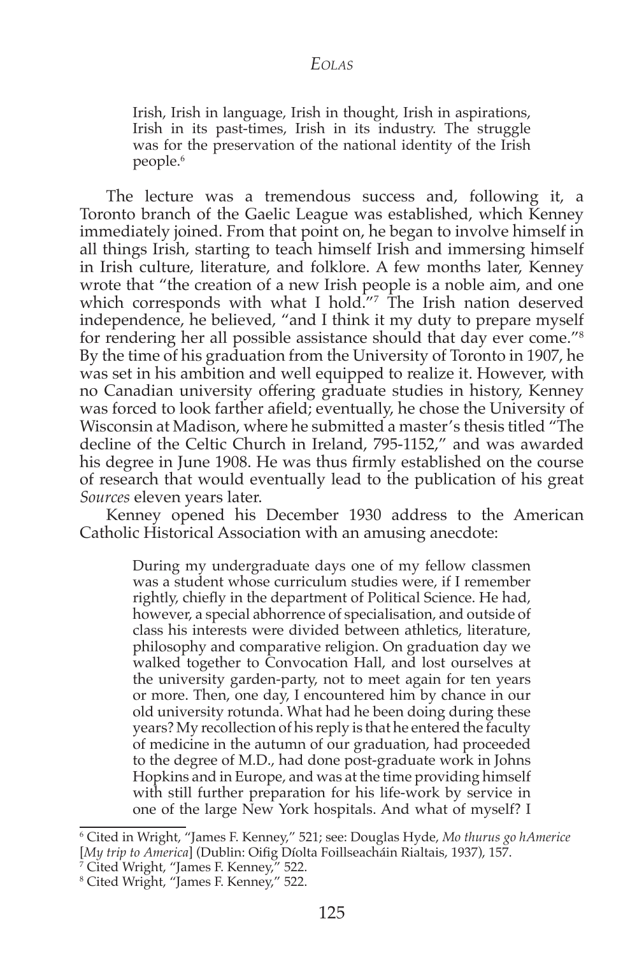Irish, Irish in language, Irish in thought, Irish in aspirations, Irish in its past-times, Irish in its industry. The struggle was for the preservation of the national identity of the Irish people.<sup>6</sup>

The lecture was a tremendous success and, following it, a Toronto branch of the Gaelic League was established, which Kenney immediately joined. From that point on, he began to involve himself in all things Irish, starting to teach himself Irish and immersing himself in Irish culture, literature, and folklore. A few months later, Kenney wrote that "the creation of a new Irish people is a noble aim, and one which corresponds with what I hold."7 The Irish nation deserved independence, he believed, "and I think it my duty to prepare myself for rendering her all possible assistance should that day ever come."<sup>8</sup> By the time of his graduation from the University of Toronto in 1907, he was set in his ambition and well equipped to realize it. However, with no Canadian university offering graduate studies in history, Kenney was forced to look farther afield; eventually, he chose the University of Wisconsin at Madison, where he submitted a master's thesis titled "The decline of the Celtic Church in Ireland, 795-1152," and was awarded his degree in June 1908. He was thus firmly established on the course of research that would eventually lead to the publication of his great *Sources* eleven years later.

Kenney opened his December 1930 address to the American Catholic Historical Association with an amusing anecdote:

> During my undergraduate days one of my fellow classmen was a student whose curriculum studies were, if I remember rightly, chiefly in the department of Political Science. He had, however, a special abhorrence of specialisation, and outside of class his interests were divided between athletics, literature, philosophy and comparative religion. On graduation day we walked together to Convocation Hall, and lost ourselves at the university garden-party, not to meet again for ten years or more. Then, one day, I encountered him by chance in our old university rotunda. What had he been doing during these years? My recollection of his reply is that he entered the faculty of medicine in the autumn of our graduation, had proceeded to the degree of M.D., had done post-graduate work in Johns Hopkins and in Europe, and was at the time providing himself with still further preparation for his life-work by service in one of the large New York hospitals. And what of myself? I

<sup>&</sup>lt;sup>6</sup> Cited in Wright, "James F. Kenney," 521; see: Douglas Hyde, *Mo thurus go hAmerice* [My trip to America] (Dublin: Oifig Díolta Foillseacháin Rialtais, 1937), 157.

<sup>&</sup>lt;sup>7</sup> Cited Wright, "James F. Kenney," 522.

<sup>&</sup>lt;sup>8</sup> Cited Wright, "James F. Kenney," 522.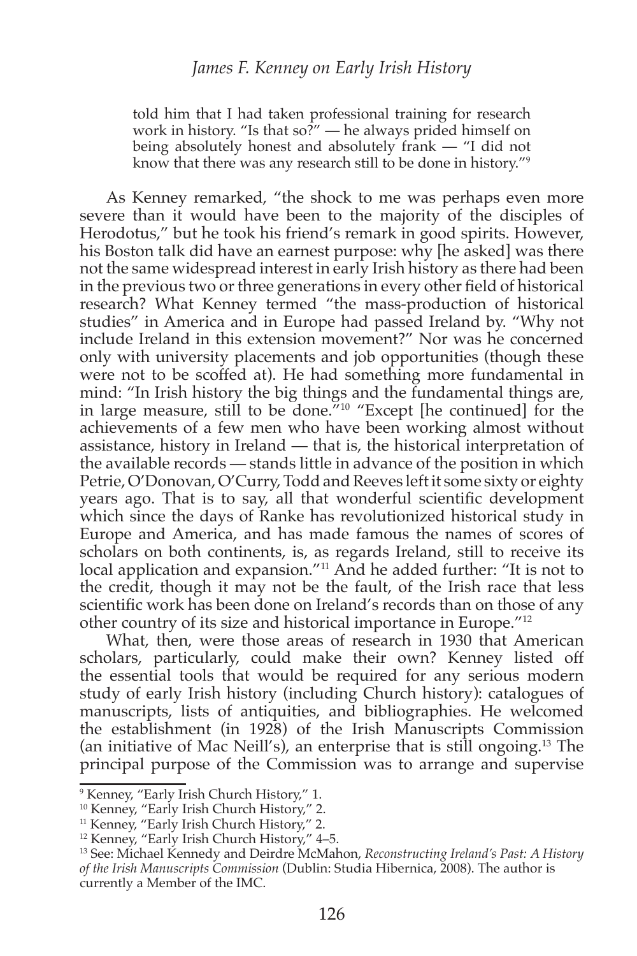told him that I had taken professional training for research work in history. "Is that so?" — he always prided himself on being absolutely honest and absolutely frank — "I did not know that there was any research still to be done in history."<sup>9</sup>

As Kenney remarked, "the shock to me was perhaps even more severe than it would have been to the majority of the disciples of Herodotus," but he took his friend's remark in good spirits. However, his Boston talk did have an earnest purpose: why [he asked] was there not the same widespread interest in early Irish history as there had been in the previous two or three generations in every other field of historical research? What Kenney termed "the mass-production of historical studies" in America and in Europe had passed Ireland by. "Why not include Ireland in this extension movement?" Nor was he concerned only with university placements and job opportunities (though these were not to be scoffed at). He had something more fundamental in mind: "In Irish history the big things and the fundamental things are, in large measure, still to be done."<sup>10</sup> "Except [he continued] for the achievements of a few men who have been working almost without assistance, history in Ireland — that is, the historical interpretation of the available records — stands little in advance of the position in which Petrie, O'Donovan, O'Curry, Todd and Reeves left it some sixty or eighty years ago. That is to say, all that wonderful scientific development which since the days of Ranke has revolutionized historical study in Europe and America, and has made famous the names of scores of scholars on both continents, is, as regards Ireland, still to receive its local application and expansion."<sup>11</sup> And he added further: "It is not to the credit, though it may not be the fault, of the Irish race that less scientific work has been done on Ireland's records than on those of any other country of its size and historical importance in Europe."<sup>12</sup>

What, then, were those areas of research in 1930 that American scholars, particularly, could make their own? Kenney listed off the essential tools that would be required for any serious modern study of early Irish history (including Church history): catalogues of manuscripts, lists of antiquities, and bibliographies. He welcomed the establishment (in 1928) of the Irish Manuscripts Commission (an initiative of Mac Neill's), an enterprise that is still ongoing.<sup>13</sup> The principal purpose of the Commission was to arrange and supervise

<sup>&</sup>lt;sup>9</sup> Kenney, "Early Irish Church History," 1.

<sup>&</sup>lt;sup>10</sup> Kenney, "Early Irish Church History," 2.

<sup>&</sup>lt;sup>11</sup> Kenney, "Early Irish Church History," 2.<br><sup>12</sup> Kenney, "Early Irish Church History," 4–5.

<sup>&</sup>lt;sup>13</sup> See: Michael Kennedy and Deirdre McMahon, Reconstructing Ireland's Past: A History of the Irish Manuscripts Commission (Dublin: Studia Hibernica, 2008). The author is currently a Member of the IMC.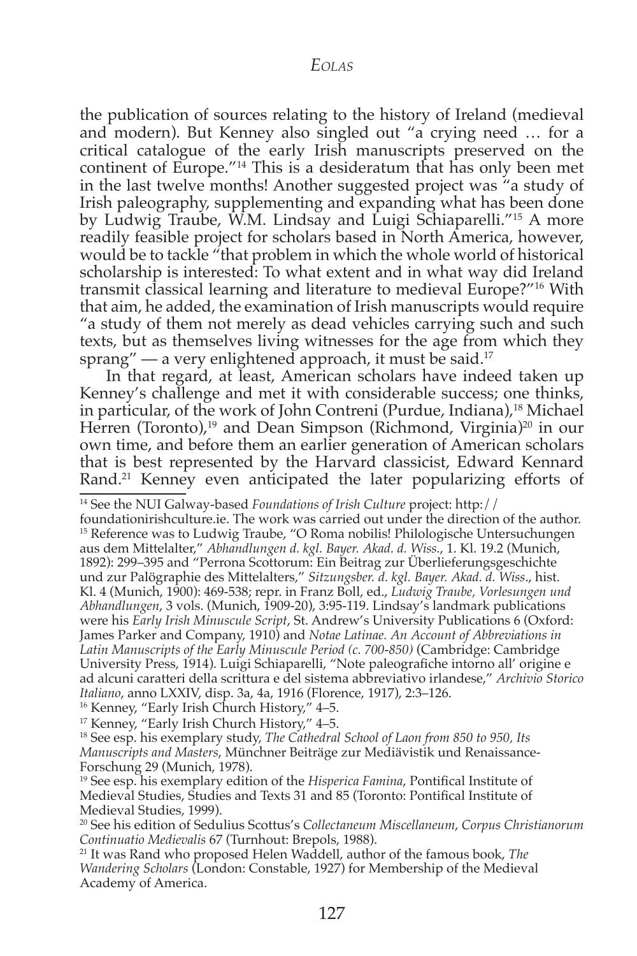the publication of sources relating to the history of Ireland (medieval and modern). But Kenney also singled out "a crying need ... for a critical catalogue of the early Irish manuscripts preserved on the continent of Europe."<sup>14</sup> This is a desideratum that has only been met in the last twelve months! Another suggested project was "a study of Irish paleography, supplementing and expanding what has been done by Ludwig Traube, W.M. Lindsay and Luigi Schiaparelli."<sup>15</sup> A more readily feasible project for scholars based in North America, however, would be to tackle "that problem in which the whole world of historical scholarship is interested: To what extent and in what way did Ireland transmit classical learning and literature to medieval Europe?"<sup>16</sup> With that aim, he added, the examination of Irish manuscripts would require "a study of them not merely as dead vehicles carrying such and such texts, but as themselves living witnesses for the age from which they sprang" — a very enlightened approach, it must be said.<sup>17</sup>

In that regard, at least, American scholars have indeed taken up Kenney's challenge and met it with considerable success; one thinks, in particular, of the work of John Contreni (Purdue, Indiana),<sup>18</sup> Michael Herren (Toronto),<sup>19</sup> and Dean Simpson (Richmond, Virginia)<sup>20</sup> in our own time, and before them an earlier generation of American scholars that is best represented by the Harvard classicist, Edward Kennard Rand.<sup>21</sup> Kenney even anticipated the later popularizing efforts of

<sup>14</sup> See the NUI Galway-based Foundations of Irish Culture project: http://

foundationirishculture.ie. The work was carried out under the direction of the author. <sup>15</sup> Reference was to Ludwig Traube, "O Roma nobilis! Philologische Untersuchungen aus dem Mittelalter," Abhandlungen d. kgl. Bayer. Akad. d. Wiss., 1. Kl. 19.2 (Munich, 1892): 299–395 and "Perrona Scottorum: Ein Beitrag zur Überlieferungsgeschichte und zur Palögraphie des Mittelalters," Sitzungsber. d. kgl. Bayer. Akad. d. Wiss., hist. Kl. 4 (Munich, 1900): 469-538; repr. in Franz Boll, ed., Ludwig Traube, Vorlesungen und Abhandlungen, 3 vols. (Munich, 1909-20), 3:95-119. Lindsay's landmark publications were his Early Irish Minuscule Script, St. Andrew's University Publications 6 (Oxford: James Parker and Company, 1910) and Notae Latinae. An Account of Abbreviations in Latin Manuscripts of the Early Minuscule Period (c. 700-850) (Cambridge: Cambridge University Press, 1914). Luigi Schiaparelli, "Note paleografiche intorno all'origine e ad alcuni caratteri della scrittura e del sistema abbreviativo irlandese," Archivio Storico *Italiano, anno LXXIV, disp.* 3a, 4a, 1916 (Florence, 1917), 2:3–126.

<sup>16</sup> Kenney, "Early Irish Church History," 4–5.

<sup>17</sup> Kenney, "Early Irish Church History," 4-5.

<sup>18</sup> See esp. his exemplary study, The Cathedral School of Laon from 850 to 950, Its Manuscripts and Masters, Münchner Beiträge zur Mediävistik und Renaissance-Forschung 29 (Munich, 1978).

<sup>19</sup> See esp. his exemplary edition of the Hisperica Famina, Pontifical Institute of Medieval Studies, Studies and Texts 31 and 85 (Toronto: Pontifical Institute of Medieval Studies, 1999).

<sup>20</sup> See his edition of Sedulius Scottus's Collectaneum Miscellaneum, Corpus Christianorum Continuatio Medievalis 67 (Turnhout: Brepols, 1988).

<sup>21</sup> It was Rand who proposed Helen Waddell, author of the famous book, *The* Wandering Scholars (London: Constable, 1927) for Membership of the Medieval Academy of America.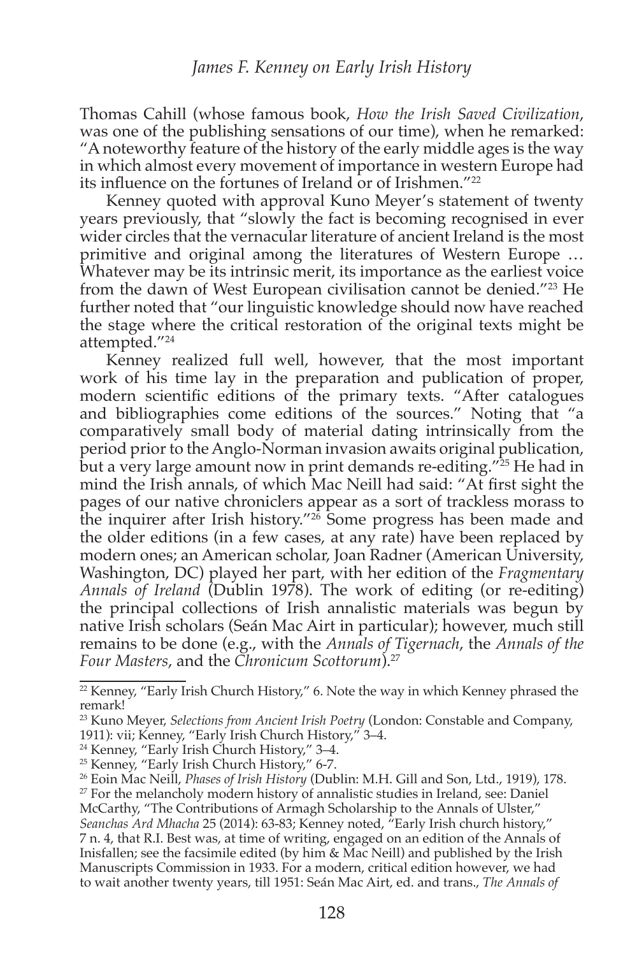Thomas Cahill (whose famous book, How the Irish Saved Civilization, was one of the publishing sensations of our time), when he remarked: "A noteworthy feature of the history of the early middle ages is the way in which almost every movement of importance in western Europe had its influence on the fortunes of Ireland or of Irishmen."<sup>22</sup>

Kenney quoted with approval Kuno Meyer's statement of twenty years previously, that "slowly the fact is becoming recognised in ever wider circles that the vernacular literature of ancient Ireland is the most primitive and original among the literatures of Western Europe ... Whatever may be its intrinsic merit, its importance as the earliest voice from the dawn of West European civilisation cannot be denied."<sup>23</sup> He further noted that "our linguistic knowledge should now have reached the stage where the critical restoration of the original texts might be attempted."<sup>24</sup>

Kenney realized full well, however, that the most important work of his time lay in the preparation and publication of proper, modern scientific editions of the primary texts. "After catalogues and bibliographies come editions of the sources." Noting that "a comparatively small body of material dating intrinsically from the period prior to the Anglo-Norman invasion awaits original publication, but a very large amount now in print demands re-editing."<sup>25</sup> He had in mind the Irish annals, of which Mac Neill had said: "At first sight the pages of our native chroniclers appear as a sort of trackless morass to the inquirer after Irish history."<sup>26</sup> Some progress has been made and the older editions (in a few cases, at any rate) have been replaced by modern ones; an American scholar, Joan Radner (American University, Washington, DC) played her part, with her edition of the *Fragmentary Annals of Ireland* (Dublin 1978). The work of editing (or re-editing) the principal collections of Irish annalistic materials was begun by native Irish scholars (Seán Mac Airt in particular); however, much still remains to be done (e.g., with the *Annals of Tigernach*, the *Annals of the Four Masters, and the Chronicum Scottorum*).<sup>27</sup>

 $^{22}$  Kenney, "Early Irish Church History," 6. Note the way in which Kenney phrased the remark!

<sup>&</sup>lt;sup>23</sup> Kuno Meyer, *Selections from Ancient Irish Poetry* (London: Constable and Company, 1911): vii; Kenney, "Early Irish Church History," 3-4.

 $24$  Kenney, "Early Irish Church History," 3–4.

<sup>&</sup>lt;sup>25</sup> Kenney, "Early Irish Church History," 6-7.

<sup>&</sup>lt;sup>26</sup> Eoin Mac Neill, *Phases of Irish History* (Dublin: M.H. Gill and Son, Ltd., 1919), 178.

 $^{27}$  For the melancholy modern history of annalistic studies in Ireland, see: Daniel McCarthy, "The Contributions of Armagh Scholarship to the Annals of Ulster," Seanchas Ard Mhacha 25 (2014): 63-83; Kenney noted, <sup>*a*</sup>Early Irish church history," 7 n. 4, that R.I. Best was, at time of writing, engaged on an edition of the Annals of Inisfallen; see the facsimile edited (by him  $\&$  Mac Neill) and published by the Irish Manuscripts Commission in 1933. For a modern, critical edition however, we had to wait another twenty years, till 1951: Seán Mac Airt, ed. and trans., *The Annals of*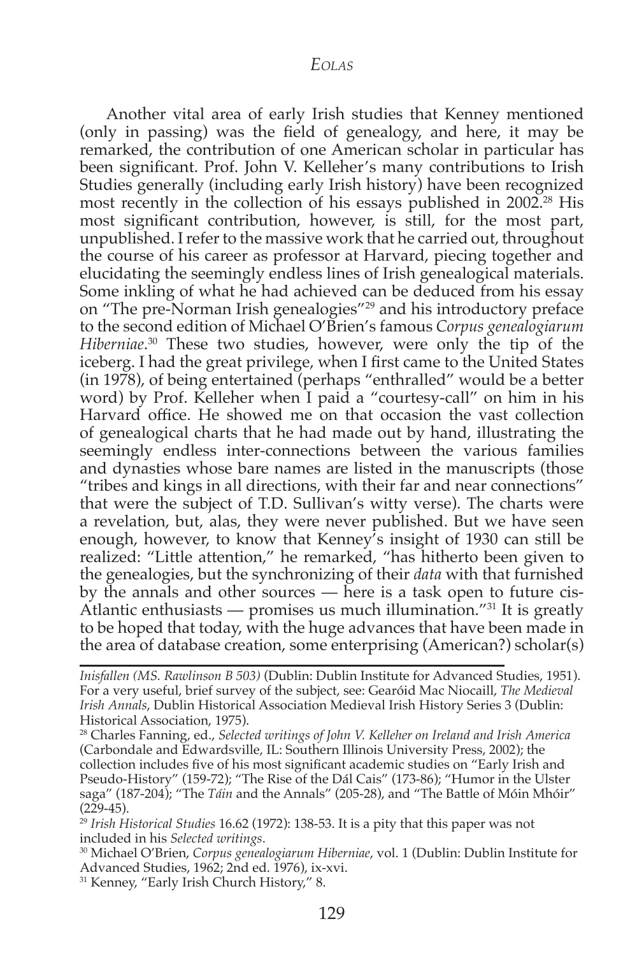Another vital area of early Irish studies that Kenney mentioned (only in passing) was the field of genealogy, and here, it may be remarked, the contribution of one American scholar in particular has been significant. Prof. John V. Kelleher's many contributions to Irish Studies generally (including early Irish history) have been recognized most recently in the collection of his essays published in  $2002<sup>28</sup>$  His most significant contribution, however, is still, for the most part, unpublished. I refer to the massive work that he carried out, throughout the course of his career as professor at Harvard, piecing together and elucidating the seemingly endless lines of Irish genealogical materials. Some inkling of what he had achieved can be deduced from his essay on "The pre-Norman Irish genealogies"<sup>29</sup> and his introductory preface to the second edition of Michael O'Brien's famous *Corpus genealogiarum Hiberniae*.<sup>30</sup> These two studies, however, were only the tip of the iceberg. I had the great privilege, when I first came to the United States (in 1978), of being entertained (perhaps "enthralled" would be a better word) by Prof. Kelleher when I paid a "courtesy-call" on him in his Harvard office. He showed me on that occasion the vast collection of genealogical charts that he had made out by hand, illustrating the seemingly endless inter-connections between the various families and dynasties whose bare names are listed in the manuscripts (those "tribes and kings in all directions, with their far and near connections" that were the subject of T.D. Sullivan's witty verse). The charts were a revelation, but, alas, they were never published. But we have seen enough, however, to know that Kenney's insight of 1930 can still be realized: "Little attention," he remarked, "has hitherto been given to the genealogies, but the synchronizing of their *data* with that furnished by the annals and other sources  $-$  here is a task open to future cis-Atlantic enthusiasts — promises us much illumination."<sup>31</sup> It is greatly to be hoped that today, with the huge advances that have been made in the area of database creation, some enterprising (American?) scholar(s)

<sup>30</sup> Michael O'Brien, *Corpus genealogiarum Hiberniae*, vol. 1 (Dublin: Dublin Institute for Advanced Studies, 1962; 2nd ed. 1976), ix-xvi.

<sup>31</sup> Kenney, "Early Irish Church History," 8.

*Inisfallen (MS. Rawlinson B 503)* (Dublin: Dublin Institute for Advanced Studies, 1951). For a very useful, brief survey of the subject, see: Gearóid Mac Niocaill, The Medieval *Irish Annals*, Dublin Historical Association Medieval Irish History Series 3 (Dublin: Historical Association, 1975).

<sup>28</sup> Charles Fanning, ed., *Selected writings of John V. Kelleher on Ireland and Irish America* (Carbondale and Edwardsville, IL: Southern Illinois University Press, 2002); the collection includes five of his most significant academic studies on "Early Irish and Pseudo-History" (159-72); "The Rise of the Dál Cais" (173-86); "Humor in the Ulster saga" (187-204); "The Táin and the Annals" (205-28), and "The Battle of Móin Mhóir"  $(229-45)$ .

 $^{29}$  Irish Historical Studies 16.62 (1972): 138-53. It is a pity that this paper was not included in his *Selected writings*.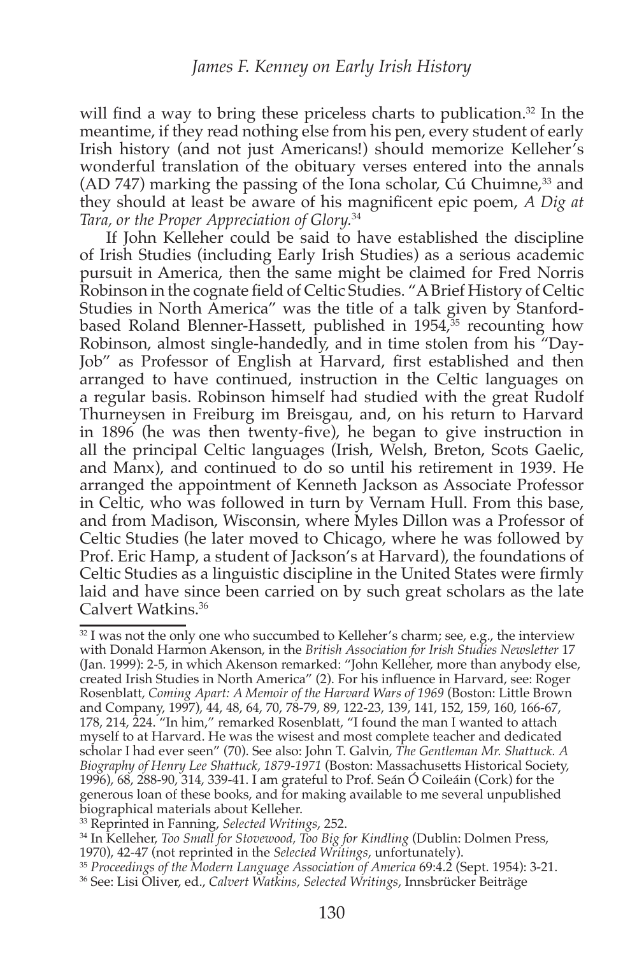will find a way to bring these priceless charts to publication.<sup>32</sup> In the meantime, if they read nothing else from his pen, every student of early Irish history (and not just Americans!) should memorize Kelleher's wonderful translation of the obituary verses entered into the annals (AD 747) marking the passing of the Iona scholar, Cú Chuimne,<sup>33</sup> and they should at least be aware of his magnificent epic poem, A Dig at Tara, or the Proper Appreciation of Glory.<sup>34</sup>

If John Kelleher could be said to have established the discipline of Irish Studies (including Early Irish Studies) as a serious academic pursuit in America, then the same might be claimed for Fred Norris Robinson in the cognate field of Celtic Studies. "A Brief History of Celtic Studies in North America" was the title of a talk given by Stanfordbased Roland Blenner-Hassett, published in 1954,<sup>35</sup> recounting how Robinson, almost single-handedly, and in time stolen from his "Day-Job" as Professor of English at Harvard, first established and then arranged to have continued, instruction in the Celtic languages on a regular basis. Robinson himself had studied with the great Rudolf Thurneysen in Freiburg im Breisgau, and, on his return to Harvard in 1896 (he was then twenty-five), he began to give instruction in all the principal Celtic languages (Irish, Welsh, Breton, Scots Gaelic, and Manx), and continued to do so until his retirement in 1939. He arranged the appointment of Kenneth Jackson as Associate Professor in Celtic, who was followed in turn by Vernam Hull. From this base, and from Madison, Wisconsin, where Myles Dillon was a Professor of Celtic Studies (he later moved to Chicago, where he was followed by Prof. Eric Hamp, a student of Jackson's at Harvard), the foundations of Celtic Studies as a linguistic discipline in the United States were firmly laid and have since been carried on by such great scholars as the late Calvert Watkins.<sup>36</sup>

<sup>&</sup>lt;sup>32</sup> I was not the only one who succumbed to Kelleher's charm; see, e.g., the interview with Donald Harmon Akenson, in the British Association for Irish Studies Newsletter 17 (Jan. 1999): 2-5, in which Akenson remarked: "John Kelleher, more than anybody else, created Irish Studies in North America" (2). For his influence in Harvard, see: Roger Rosenblatt, Coming Apart: A Memoir of the Harvard Wars of 1969 (Boston: Little Brown and Company, 1997), 44, 48, 64, 70, 78-79, 89, 122-23, 139, 141, 152, 159, 160, 166-67, 178, 214, 224. "In him," remarked Rosenblatt, "I found the man I wanted to attach myself to at Harvard. He was the wisest and most complete teacher and dedicated scholar I had ever seen" (70). See also: John T. Galvin, The Gentleman Mr. Shattuck. A Biography of Henry Lee Shattuck, 1879-1971 (Boston: Massachusetts Historical Society, 1996), 68, 288-90, 314, 339-41. I am grateful to Prof. Seán Ó Coileáin (Cork) for the generous loan of these books, and for making available to me several unpublished biographical materials about Kelleher.

<sup>&</sup>lt;sup>33</sup> Reprinted in Fanning, Selected Writings, 252.

<sup>&</sup>lt;sup>34</sup> In Kelleher, *Too Small for Stovewood*, *Too Big for Kindling* (Dublin: Dolmen Press, 1970), 42-47 (not reprinted in the Selected Writings, unfortunately).

<sup>&</sup>lt;sup>35</sup> Proceedings of the Modern Language Association of America 69:4.2 (Sept. 1954): 3-21.

<sup>&</sup>lt;sup>36</sup> See: Lisi Oliver, ed., *Calvert Watkins*, *Selected Writings*, Innsbrücker Beiträge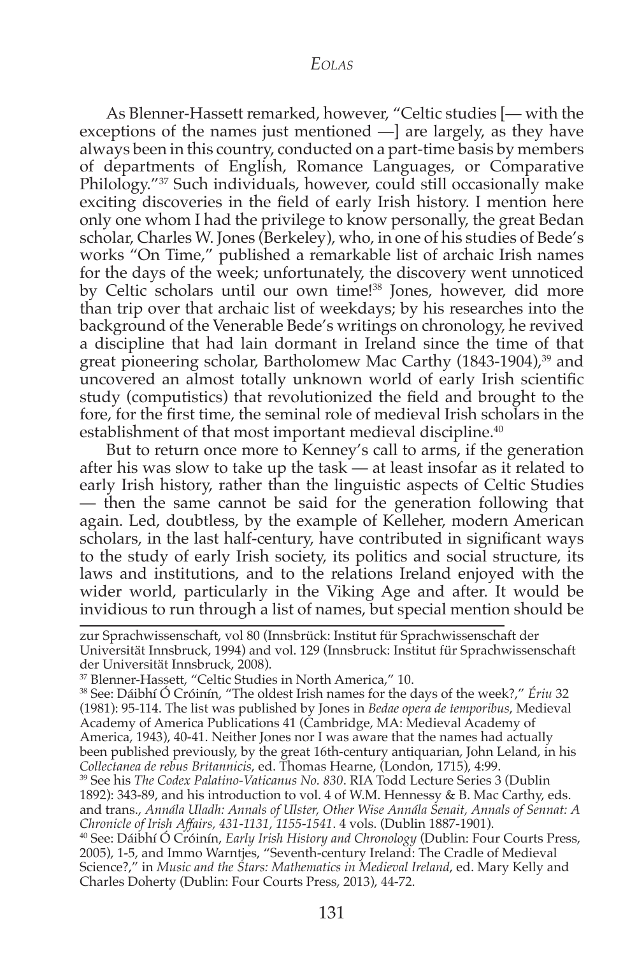As Blenner-Hassett remarked, however, "Celtic studies [- with the exceptions of the names just mentioned  $-$ ] are largely, as they have always been in this country, conducted on a part-time basis by members of departments of English, Romance Languages, or Comparative Philology."<sup>37</sup> Such individuals, however, could still occasionally make exciting discoveries in the field of early Irish history. I mention here only one whom I had the privilege to know personally, the great Bedan scholar, Charles W. Jones (Berkeley), who, in one of his studies of Bede's works "On Time," published a remarkable list of archaic Irish names for the days of the week; unfortunately, the discovery went unnoticed by Celtic scholars until our own time!<sup>38</sup> Jones, however, did more than trip over that archaic list of weekdays; by his researches into the background of the Venerable Bede's writings on chronology, he revived a discipline that had lain dormant in Ireland since the time of that great pioneering scholar, Bartholomew Mac Carthy (1843-1904),<sup>39</sup> and uncovered an almost totally unknown world of early Irish scientific study (computistics) that revolutionized the field and brought to the fore, for the first time, the seminal role of medieval Irish scholars in the establishment of that most important medieval discipline.<sup>40</sup>

But to return once more to Kenney's call to arms, if the generation after his was slow to take up the task  $-$  at least insofar as it related to early Irish history, rather than the linguistic aspects of Celtic Studies - then the same cannot be said for the generation following that again. Led, doubtless, by the example of Kelleher, modern American scholars, in the last half-century, have contributed in significant ways to the study of early Irish society, its politics and social structure, its laws and institutions, and to the relations Ireland enjoyed with the wider world, particularly in the Viking Age and after. It would be invidious to run through a list of names, but special mention should be

zur Sprachwissenschaft, vol 80 (Innsbrück: Institut für Sprachwissenschaft der Universität Innsbruck, 1994) and vol. 129 (Innsbruck: Institut für Sprachwissenschaft der Universität Innsbruck, 2008).

<sup>38</sup> See: Dáibhí Ó Cróinín, "The oldest Irish names for the days of the week?," Ériu 32 (1981): 95-114. The list was published by Jones in Bedae opera de temporibus, Medieval Academy of America Publications 41 (Cambridge, MA: Medieval Academy of America, 1943), 40-41. Neither Jones nor I was aware that the names had actually been published previously, by the great 16th-century antiquarian, John Leland, in his Collectanea de rebus Britannicis, ed. Thomas Hearne, (London, 1715), 4:99.

<sup>39</sup> See his The Codex Palatino-Vaticanus No. 830. RIA Todd Lecture Series 3 (Dublin 1892): 343-89, and his introduction to vol. 4 of W.M. Hennessy & B. Mac Carthy, eds. and trans., Annála Uladh: Annals of Ulster, Other Wise Annála Senait, Annals of Sennat: A Chronicle of Irish Affairs, 431-1131, 1155-1541. 4 vols. (Dublin 1887-1901).

<sup>40</sup> See: Dáibhí Ó Cróinín, *Early Irish History and Chronology* (Dublin: Four Courts Press, 2005), 1-5, and Immo Warntjes, "Seventh-century Ireland: The Cradle of Medieval Science?," in Music and the Stars: Mathematics in Medieval Ireland, ed. Mary Kelly and Charles Doherty (Dublin: Four Courts Press, 2013), 44-72.

<sup>&</sup>lt;sup>37</sup> Blenner-Hassett, "Celtic Studies in North America," 10.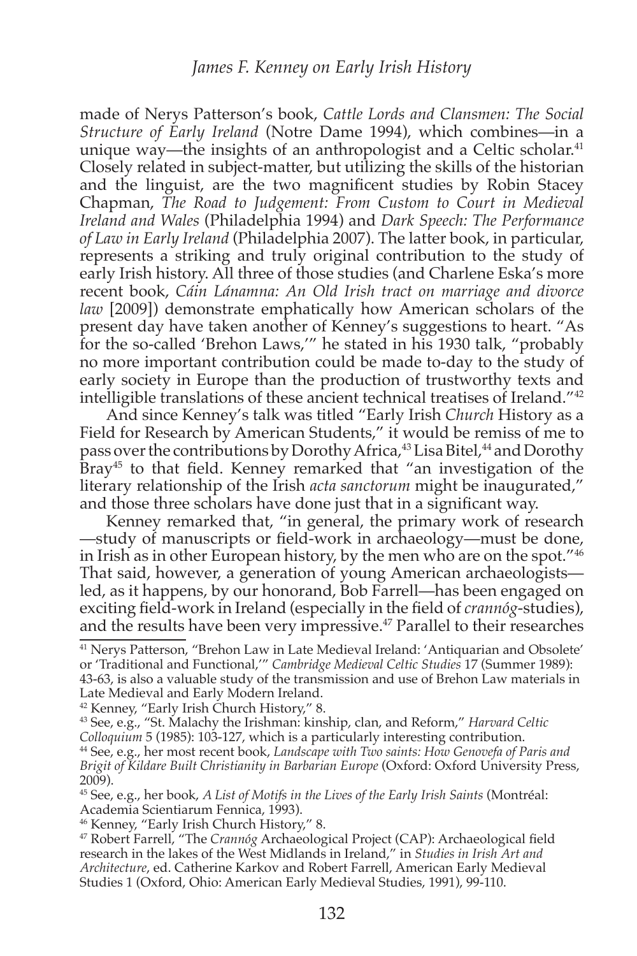made of Nerys Patterson's book, Cattle Lords and Clansmen: The Social Structure of Early Ireland (Notre Dame 1994), which combines—in a unique way—the insights of an anthropologist and a Celtic scholar.<sup>41</sup> Closely related in subject-matter, but utilizing the skills of the historian and the linguist, are the two magnificent studies by Robin Stacey Chapman, The Road to Judgement: From Custom to Court in Medieval Ireland and Wales (Philadelphia 1994) and Dark Speech: The Performance of Law in Early Ireland (Philadelphia 2007). The latter book, in particular, represents a striking and truly original contribution to the study of early Irish history. All three of those studies (and Charlene Eska's more recent book, Cáin Lánamna: An Old Irish tract on marriage and divorce *law* [2009]) demonstrate emphatically how American scholars of the present day have taken another of Kenney's suggestions to heart. "As for the so-called 'Brehon Laws,'" he stated in his 1930 talk, "probably no more important contribution could be made to-day to the study of early society in Europe than the production of trustworthy texts and intelligible translations of these ancient technical treatises of Ireland."<sup>42</sup>

And since Kenney's talk was titled "Early Irish Church History as a Field for Research by American Students," it would be remiss of me to pass over the contributions by Dorothy Africa,<sup>43</sup> Lisa Bitel,<sup>44</sup> and Dorothy Bray<sup>45</sup> to that field. Kenney remarked that "an investigation of the literary relationship of the Irish *acta sanctorum* might be inaugurated," and those three scholars have done just that in a significant way.

Kenney remarked that, "in general, the primary work of research —study of manuscripts or field-work in archaeology—must be done, in Irish as in other European history, by the men who are on the spot."<sup>46</sup> That said, however, a generation of young American archaeologists led, as it happens, by our honorand, Bob Farrell-has been engaged on exciting field-work in Ireland (especially in the field of *crannog*-studies), and the results have been very impressive.<sup>47</sup> Parallel to their researches

<sup>&</sup>lt;sup>41</sup> Nerys Patterson, "Brehon Law in Late Medieval Ireland: 'Antiquarian and Obsolete' or 'Traditional and Functional,'" Cambridge Medieval Celtic Studies 17 (Summer 1989): 43-63, is also a valuable study of the transmission and use of Brehon Law materials in Late Medieval and Early Modern Ireland.

<sup>&</sup>lt;sup>42</sup> Kenney, "Early Irish Church History," 8.

<sup>&</sup>lt;sup>43</sup> See, e.g., "St. Malachy the Irishman: kinship, clan, and Reform," Harvard Celtic Colloquium 5 (1985): 103-127, which is a particularly interesting contribution. <sup>44</sup> See, e.g., her most recent book, Landscape with Two saints: How Genovefa of Paris and Brigit of Kildare Built Christianity in Barbarian Europe (Oxford: Oxford University Press,  $2009$ ).

<sup>&</sup>lt;sup>45</sup> See, e.g., her book, A List of Motifs in the Lives of the Early Irish Saints (Montréal: Academia Scientiarum Fennica, 1993).

<sup>&</sup>lt;sup>46</sup> Kenney, "Early Irish Church History," 8.

<sup>&</sup>lt;sup>47</sup> Robert Farrell, "The Crannóg Archaeological Project (CAP): Archaeological field research in the lakes of the West Midlands in Ireland," in Studies in Irish Art and Architecture, ed. Catherine Karkov and Robert Farrell, American Early Medieval Studies 1 (Oxford, Ohio: American Early Medieval Studies, 1991), 99-110.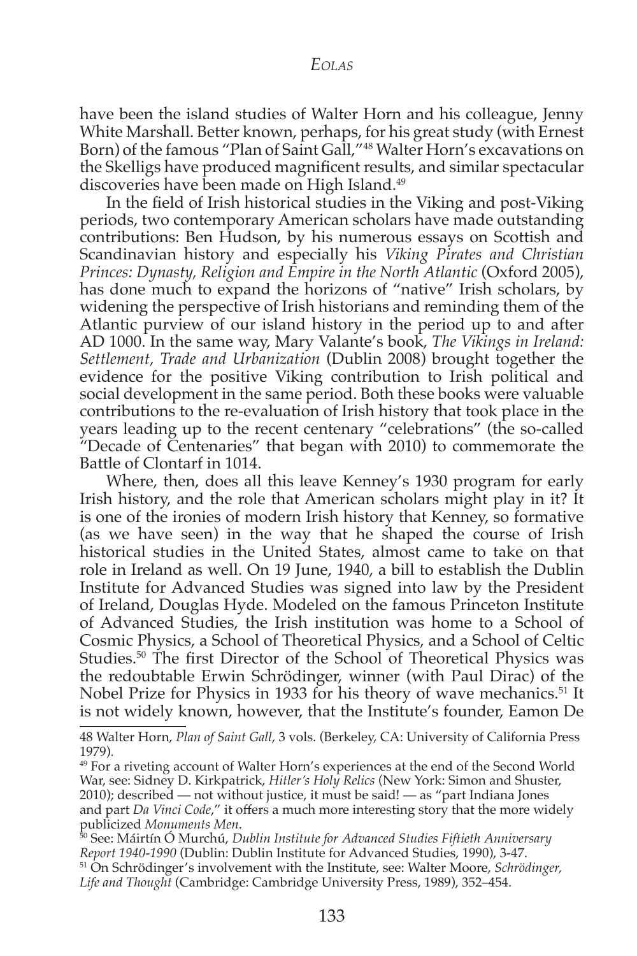have been the island studies of Walter Horn and his colleague, Jenny White Marshall. Better known, perhaps, for his great study (with Ernest Born) of the famous "Plan of Saint Gall,"<sup>48</sup> Walter Horn's excavations on the Skelligs have produced magnificent results, and similar spectacular discoveries have been made on High Island.<sup>49</sup>

In the field of Irish historical studies in the Viking and post-Viking periods, two contemporary American scholars have made outstanding contributions: Ben Hudson, by his numerous essays on Scottish and Scandinavian history and especially his Viking Pirates and Christian Princes: Dynasty, Religion and Empire in the North Atlantic (Oxford 2005), has done much to expand the horizons of "native" Irish scholars, by widening the perspective of Irish historians and reminding them of the Atlantic purview of our island history in the period up to and after AD 1000. In the same way, Mary Valante's book, The Vikings in Ireland: Settlement, Trade and Urbanization (Dublin 2008) brought together the evidence for the positive Viking contribution to Irish political and social development in the same period. Both these books were valuable contributions to the re-evaluation of Irish history that took place in the years leading up to the recent centenary "celebrations" (the so-called "Decade of Centenaries" that began with 2010) to commemorate the Battle of Clontarf in 1014.

Where, then, does all this leave Kenney's 1930 program for early Irish history, and the role that American scholars might play in it? It is one of the ironies of modern Irish history that Kenney, so formative (as we have seen) in the way that he shaped the course of Irish historical studies in the United States, almost came to take on that role in Ireland as well. On 19 June, 1940, a bill to establish the Dublin Institute for Advanced Studies was signed into law by the President of Ireland, Douglas Hyde. Modeled on the famous Princeton Institute of Advanced Studies, the Irish institution was home to a School of Cosmic Physics, a School of Theoretical Physics, and a School of Celtic Studies.<sup>50</sup> The first Director of the School of Theoretical Physics was the redoubtable Erwin Schrödinger, winner (with Paul Dirac) of the Nobel Prize for Physics in 1933 for his theory of wave mechanics.<sup>51</sup> It is not widely known, however, that the Institute's founder, Eamon De

<sup>48</sup> Walter Horn, Plan of Saint Gall, 3 vols. (Berkeley, CA: University of California Press 1979).

<sup>&</sup>lt;sup>49</sup> For a riveting account of Walter Horn's experiences at the end of the Second World War, see: Sidney D. Kirkpatrick, Hitler's Holy Relics (New York: Simon and Shuster, 2010); described — not without justice, it must be said! — as "part Indiana Jones and part Da Vinci Code," it offers a much more interesting story that the more widely publicized Monuments Men.<br><sup>50</sup> See: Máirtín Ó Murchú, Dublin Institute for Advanced Studies Fiftieth Anniversary

Report 1940-1990 (Dublin: Dublin Institute for Advanced Studies, 1990), 3-47. <sup>51</sup> On Schrödinger's involvement with the Institute, see: Walter Moore, Schrödinger, Life and Thought (Cambridge: Cambridge University Press, 1989), 352-454.